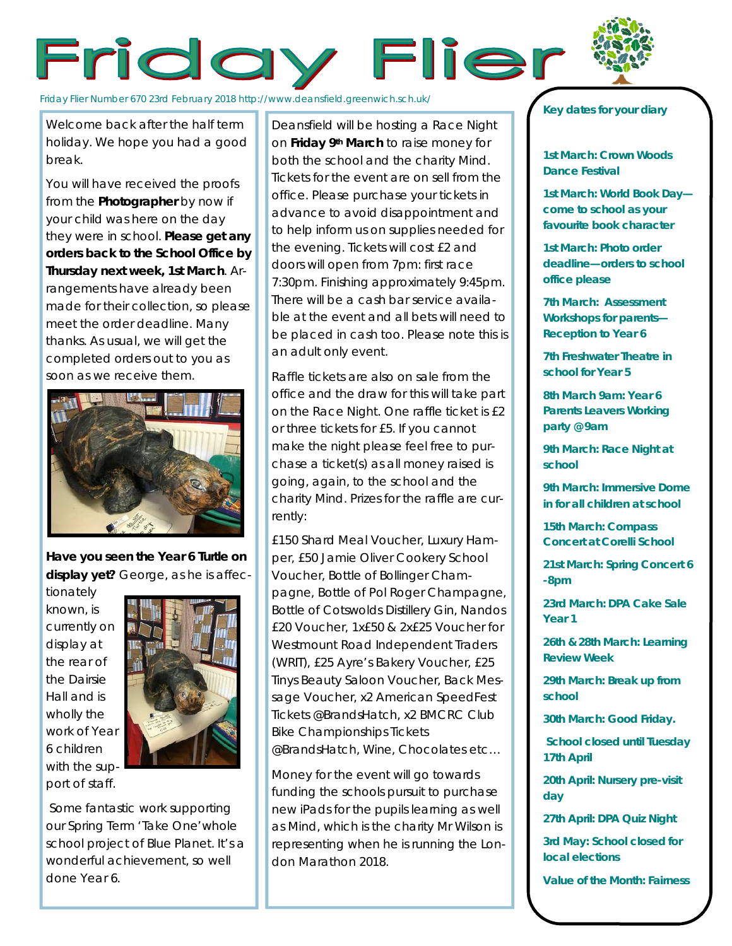## Friday Flier



Welcome back after the half term holiday. We hope you had a good break.

You will have received the proofs from the **Photographer** by now if your child was here on the day they were in school. **Please get any orders back to the School Office by Thursday next week, 1st March**. Arrangements have already been made for their collection, so please meet the order deadline. Many thanks. As usual, we will get the completed orders out to you as soon as we receive them.



**Have you seen the Year 6 Turtle on display yet?** George, as he is affec-

tionately known, is currently on display at the rear of the Dairsie Hall and is wholly the work of Year 6 children with the support of staff.



Some fantastic work supporting our Spring Term 'Take One'whole school project of Blue Planet. It's a wonderful achievement, so well done Year 6.

Deansfield will be hosting a Race Night on **Friday 9th March** to raise money for both the school and the charity Mind. Tickets for the event are on sell from the office. Please purchase your tickets in advance to avoid disappointment and to help inform us on supplies needed for the evening. Tickets will cost £2 and doors will open from 7pm: first race 7:30pm. Finishing approximately 9:45pm. There will be a cash bar service available at the event and all bets will need to be placed in cash too. Please note this is an adult only event.

Raffle tickets are also on sale from the office and the draw for this will take part on the Race Night. One raffle ticket is £2 or three tickets for £5. If you cannot make the night please feel free to purchase a ticket(s) as all money raised is going, again, to the school and the charity Mind. Prizes for the raffle are currently:

*£150 Shard Meal Voucher, Luxury Hamper, £50 Jamie Oliver Cookery School Voucher, Bottle of Bollinger Champagne, Bottle of Pol Roger Champagne, Bottle of Cotswolds Distillery Gin, Nandos £20 Voucher, 1x£50 & 2x£25 Voucher for Westmount Road Independent Traders (WRIT), £25 Ayre's Bakery Voucher, £25 Tinys Beauty Saloon Voucher, Back Message Voucher, x2 American SpeedFest Tickets @BrandsHatch, x2 BMCRC Club Bike Championships Tickets @BrandsHatch, Wine, Chocolates etc…*

Money for the event will go towards funding the schools pursuit to purchase new iPads for the pupils learning as well as Mind, which is the charity Mr Wilson is representing when he is running the London Marathon 2018.

## *Key dates for your diary*

**1st March: Crown Woods Dance Festival**

**1st March: World Book Day come to school as your favourite book character** 

**1st March: Photo order deadline—orders to school office please**

*7th March: Assessment Workshops for parents— Reception to Year 6*

**7th Freshwater Theatre in school for Year 5**

*8th March 9am: Year 6 Parents Leavers Working party @ 9am*

**9th March: Race Night at school**

*9th March: Immersive Dome in for all children at school*

*15th March: Compass Concert at Corelli School*

**21st March: Spring Concert 6 -8pm**

**23rd March: DPA Cake Sale Year 1**

**26th & 28th March: Learning Review Week**

**29th March: Break up from school**

**30th March: Good Friday.**

**School closed until Tuesday 17th April**

**20th April: Nursery pre-visit day**

**27th April: DPA Quiz Night**

**3rd May: School closed for local elections**

**Value of the Month: Fairness**